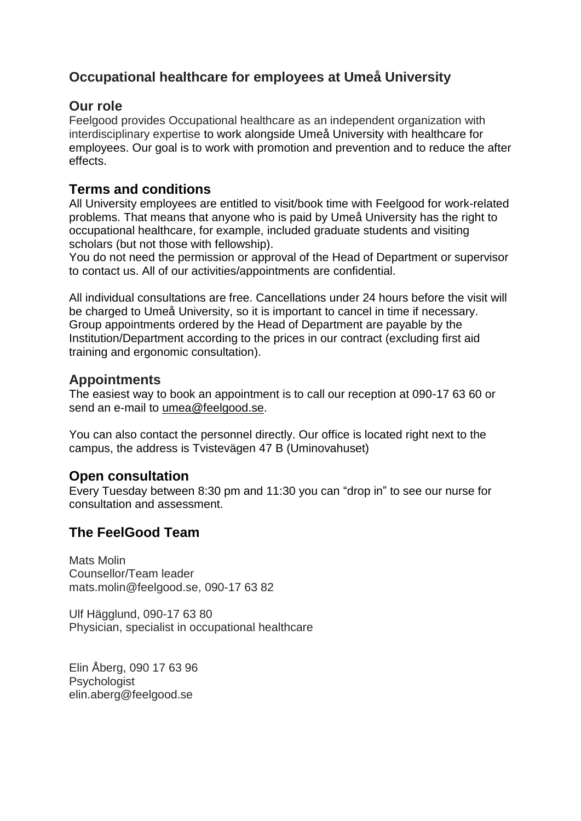# **Occupational healthcare for employees at Umeå University**

### **Our role**

Feelgood provides Occupational healthcare as an independent organization with interdisciplinary expertise to work alongside Umeå University with healthcare for employees. Our goal is to work with promotion and prevention and to reduce the after effects.

## **Terms and conditions**

All University employees are entitled to visit/book time with Feelgood for work-related problems. That means that anyone who is paid by Umeå University has the right to occupational healthcare, for example, included graduate students and visiting scholars (but not those with fellowship).

You do not need the permission or approval of the Head of Department or supervisor to contact us. All of our activities/appointments are confidential.

All individual consultations are free. Cancellations under 24 hours before the visit will be charged to Umeå University, so it is important to cancel in time if necessary. Group appointments ordered by the Head of Department are payable by the Institution/Department according to the prices in our contract (excluding first aid training and ergonomic consultation).

# **Appointments**

The easiest way to book an appointment is to call our reception at 090-17 63 60 or send an e-mail to [umea@feelgood.se.](mailto:umea@feelgood.se)

You can also contact the personnel directly. Our office is located right next to the campus, the address is Tvistevägen 47 B (Uminovahuset)

## **Open consultation**

Every Tuesday between 8:30 pm and 11:30 you can "drop in" to see our nurse for consultation and assessment.

# **The FeelGood Team**

Mats Molin Counsellor/Team leader mats.molin@feelgood.se, 090-17 63 82

Ulf Hägglund, 090-17 63 80 Physician, specialist in occupational healthcare

Elin Åberg, 090 17 63 96 Psychologist elin.aberg@feelgood.se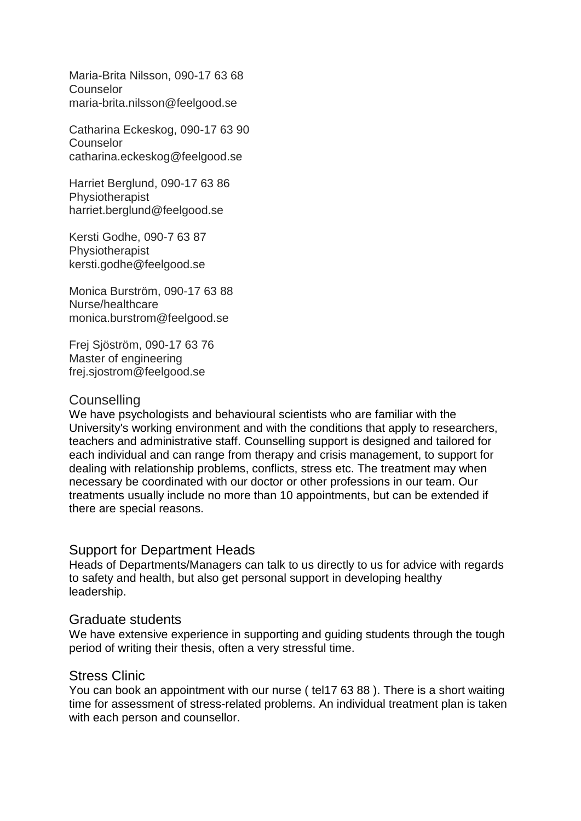Maria-Brita Nilsson, 090-17 63 68 **Counselor** maria-brita.nilsson@feelgood.se

Catharina Eckeskog, 090-17 63 90 **Counselor** catharina.eckeskog@feelgood.se

Harriet Berglund, 090-17 63 86 Physiotherapist harriet.berglund@feelgood.se

Kersti Godhe, 090-7 63 87 Physiotherapist kersti.godhe@feelgood.se

Monica Burström, 090-17 63 88 Nurse/healthcare monica.burstrom@feelgood.se

Frej Sjöström, 090-17 63 76 Master of engineering frej.sjostrom@feelgood.se

#### **Counselling**

We have psychologists and behavioural scientists who are familiar with the University's working environment and with the conditions that apply to researchers, teachers and administrative staff. Counselling support is designed and tailored for each individual and can range from therapy and crisis management, to support for dealing with relationship problems, conflicts, stress etc. The treatment may when necessary be coordinated with our doctor or other professions in our team. Our treatments usually include no more than 10 appointments, but can be extended if there are special reasons.

#### Support for Department Heads

Heads of Departments/Managers can talk to us directly to us for advice with regards to safety and health, but also get personal support in developing healthy leadership.

#### Graduate students

We have extensive experience in supporting and guiding students through the tough period of writing their thesis, often a very stressful time.

#### Stress Clinic

You can book an appointment with our nurse ( tel17 63 88 ). There is a short waiting time for assessment of stress-related problems. An individual treatment plan is taken with each person and counsellor.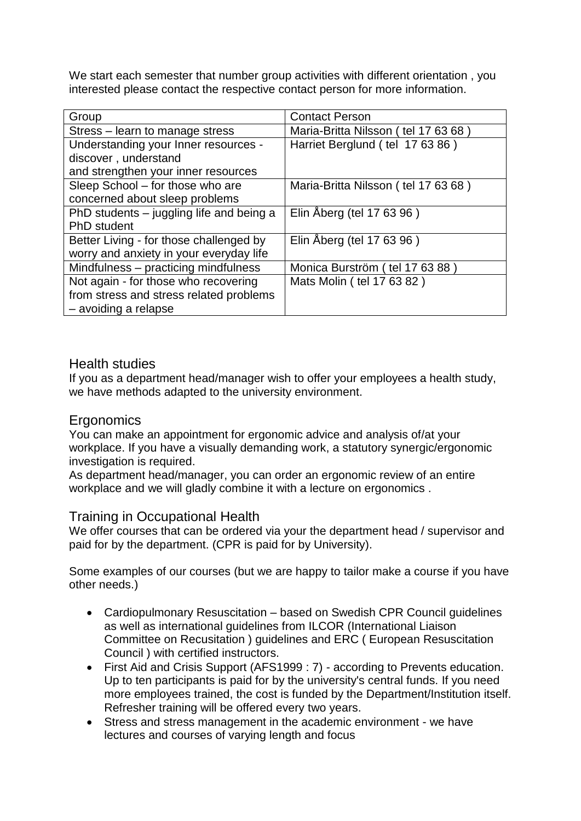We start each semester that number group activities with different orientation , you interested please contact the respective contact person for more information.

| Group                                    | <b>Contact Person</b>               |
|------------------------------------------|-------------------------------------|
| Stress - learn to manage stress          | Maria-Britta Nilsson (tel 17 63 68) |
| Understanding your Inner resources -     | Harriet Berglund (tel 17 63 86)     |
| discover, understand                     |                                     |
| and strengthen your inner resources      |                                     |
| Sleep School – for those who are         | Maria-Britta Nilsson (tel 17 63 68) |
| concerned about sleep problems           |                                     |
| PhD students – juggling life and being a | Elin Åberg (tel 17 63 96)           |
| <b>PhD</b> student                       |                                     |
| Better Living - for those challenged by  | Elin Åberg (tel 17 63 96)           |
| worry and anxiety in your everyday life  |                                     |
| Mindfulness – practicing mindfulness     | Monica Burström (tel 17 63 88)      |
| Not again - for those who recovering     | Mats Molin (tel 17 63 82)           |
| from stress and stress related problems  |                                     |
| - avoiding a relapse                     |                                     |

## Health studies

If you as a department head/manager wish to offer your employees a health study, we have methods adapted to the university environment.

#### Ergonomics

You can make an appointment for ergonomic advice and analysis of/at your workplace. If you have a visually demanding work, a statutory synergic/ergonomic investigation is required.

As department head/manager, you can order an ergonomic review of an entire workplace and we will gladly combine it with a lecture on ergonomics .

#### Training in Occupational Health

We offer courses that can be ordered via your the department head / supervisor and paid for by the department. (CPR is paid for by University).

Some examples of our courses (but we are happy to tailor make a course if you have other needs.)

- Cardiopulmonary Resuscitation based on Swedish CPR Council guidelines as well as international guidelines from ILCOR (International Liaison Committee on Recusitation ) guidelines and ERC ( European Resuscitation Council ) with certified instructors.
- First Aid and Crisis Support (AFS1999 : 7) according to Prevents education. Up to ten participants is paid for by the university's central funds. If you need more employees trained, the cost is funded by the Department/Institution itself. Refresher training will be offered every two years.
- Stress and stress management in the academic environment we have lectures and courses of varying length and focus